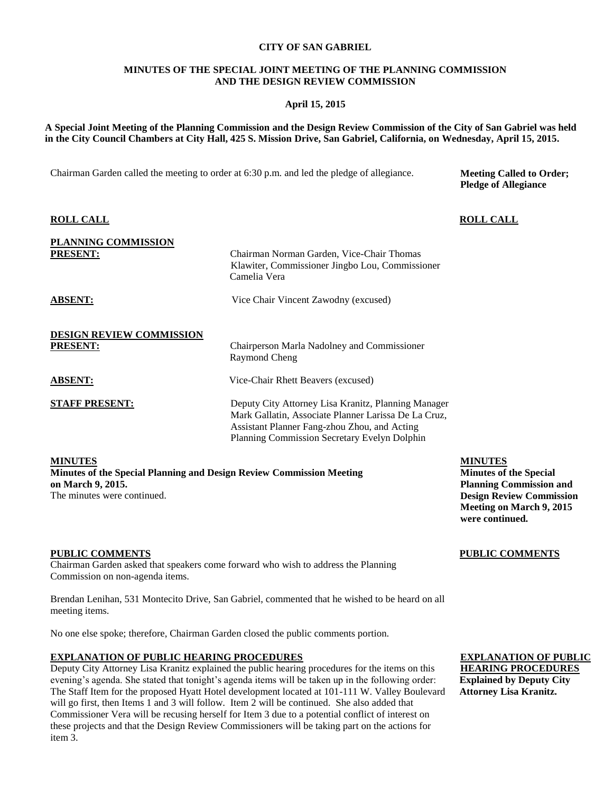### **CITY OF SAN GABRIEL**

### **MINUTES OF THE SPECIAL JOINT MEETING OF THE PLANNING COMMISSION AND THE DESIGN REVIEW COMMISSION**

# **April 15, 2015**

**A Special Joint Meeting of the Planning Commission and the Design Review Commission of the City of San Gabriel was held in the City Council Chambers at City Hall, 425 S. Mission Drive, San Gabriel, California, on Wednesday, April 15, 2015.**

Chairman Garden called the meeting to order at 6:30 p.m. and led the pledge of allegiance.

**Meeting Called to Order; Pledge of Allegiance**

| <b>ROLL CALL</b>                                   |                                                                                                                                                                                                             | <b>ROLL CALL</b> |
|----------------------------------------------------|-------------------------------------------------------------------------------------------------------------------------------------------------------------------------------------------------------------|------------------|
| PLANNING COMMISSION<br><b>PRESENT:</b>             | Chairman Norman Garden, Vice-Chair Thomas<br>Klawiter, Commissioner Jingbo Lou, Commissioner<br>Camelia Vera                                                                                                |                  |
| <b>ABSENT:</b>                                     | Vice Chair Vincent Zawodny (excused)                                                                                                                                                                        |                  |
| <b>DESIGN REVIEW COMMISSION</b><br><b>PRESENT:</b> | Chairperson Marla Nadolney and Commissioner<br>Raymond Cheng                                                                                                                                                |                  |
| <b>ABSENT:</b>                                     | Vice-Chair Rhett Beavers (excused)                                                                                                                                                                          |                  |
| <b>STAFF PRESENT:</b>                              | Deputy City Attorney Lisa Kranitz, Planning Manager<br>Mark Gallatin, Associate Planner Larissa De La Cruz,<br>Assistant Planner Fang-zhou Zhou, and Acting<br>Planning Commission Secretary Evelyn Dolphin |                  |
|                                                    |                                                                                                                                                                                                             |                  |

**MINUTES**

**Minutes of the Special Planning and Design Review Commission Meeting on March 9, 2015.** The minutes were continued.

**MINUTES**

**Minutes of the Special Planning Commission and Design Review Commission Meeting on March 9, 2015 were continued.**

**PUBLIC COMMENTS** 

# **PUBLIC COMMENTS**

Chairman Garden asked that speakers come forward who wish to address the Planning Commission on non-agenda items.

Brendan Lenihan, 531 Montecito Drive, San Gabriel, commented that he wished to be heard on all meeting items.

No one else spoke; therefore, Chairman Garden closed the public comments portion.

# **EXPLANATION OF PUBLIC HEARING PROCEDURES**

Deputy City Attorney Lisa Kranitz explained the public hearing procedures for the items on this evening's agenda. She stated that tonight's agenda items will be taken up in the following order: The Staff Item for the proposed Hyatt Hotel development located at 101-111 W. Valley Boulevard will go first, then Items 1 and 3 will follow. Item 2 will be continued. She also added that Commissioner Vera will be recusing herself for Item 3 due to a potential conflict of interest on these projects and that the Design Review Commissioners will be taking part on the actions for item 3.

# **EXPLANATION OF PUBLIC HEARING PROCEDURES Explained by Deputy City**

**Attorney Lisa Kranitz.**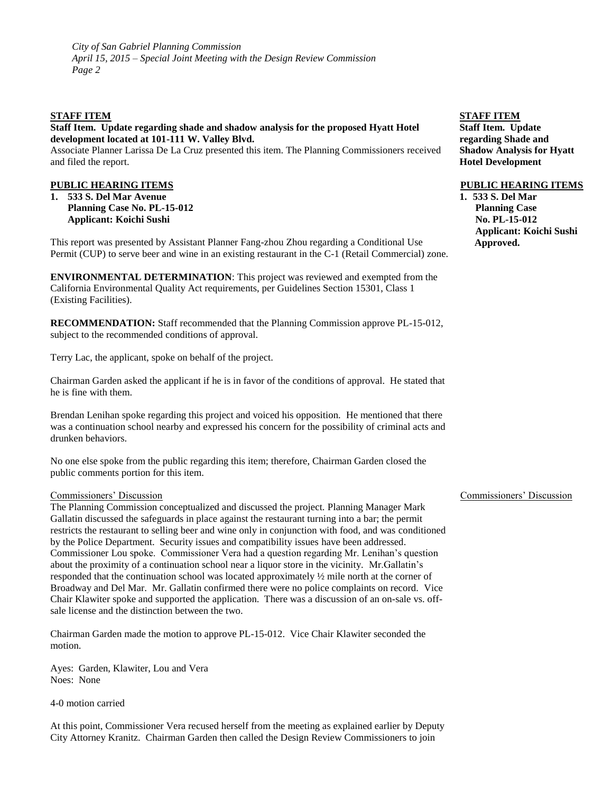# **STAFF ITEM**

# **Staff Item. Update regarding shade and shadow analysis for the proposed Hyatt Hotel development located at 101-111 W. Valley Blvd.**

Associate Planner Larissa De La Cruz presented this item. The Planning Commissioners received and filed the report.

### **PUBLIC HEARING ITEMS**

**1. 533 S. Del Mar Avenue Planning Case No. PL-15-012 Applicant: Koichi Sushi**

This report was presented by Assistant Planner Fang-zhou Zhou regarding a Conditional Use Permit (CUP) to serve beer and wine in an existing restaurant in the C-1 (Retail Commercial) zone.

**ENVIRONMENTAL DETERMINATION**: This project was reviewed and exempted from the California Environmental Quality Act requirements, per Guidelines Section 15301, Class 1 (Existing Facilities).

**RECOMMENDATION:** Staff recommended that the Planning Commission approve PL-15-012, subject to the recommended conditions of approval.

Terry Lac, the applicant, spoke on behalf of the project.

Chairman Garden asked the applicant if he is in favor of the conditions of approval. He stated that he is fine with them.

Brendan Lenihan spoke regarding this project and voiced his opposition. He mentioned that there was a continuation school nearby and expressed his concern for the possibility of criminal acts and drunken behaviors.

No one else spoke from the public regarding this item; therefore, Chairman Garden closed the public comments portion for this item.

### Commissioners' Discussion

The Planning Commission conceptualized and discussed the project. Planning Manager Mark Gallatin discussed the safeguards in place against the restaurant turning into a bar; the permit restricts the restaurant to selling beer and wine only in conjunction with food, and was conditioned by the Police Department. Security issues and compatibility issues have been addressed. Commissioner Lou spoke. Commissioner Vera had a question regarding Mr. Lenihan's question about the proximity of a continuation school near a liquor store in the vicinity. Mr.Gallatin's responded that the continuation school was located approximately ½ mile north at the corner of Broadway and Del Mar. Mr. Gallatin confirmed there were no police complaints on record. Vice Chair Klawiter spoke and supported the application. There was a discussion of an on-sale vs. offsale license and the distinction between the two.

Chairman Garden made the motion to approve PL-15-012. Vice Chair Klawiter seconded the motion.

Ayes: Garden, Klawiter, Lou and Vera Noes: None

4-0 motion carried

At this point, Commissioner Vera recused herself from the meeting as explained earlier by Deputy City Attorney Kranitz. Chairman Garden then called the Design Review Commissioners to join

#### **STAFF ITEM**

**Staff Item. Update regarding Shade and Shadow Analysis for Hyatt Hotel Development**

#### **PUBLIC HEARING ITEMS**

**1. 533 S. Del Mar Planning Case No. PL-15-012 Applicant: Koichi Sushi Approved.**

### Commissioners' Discussion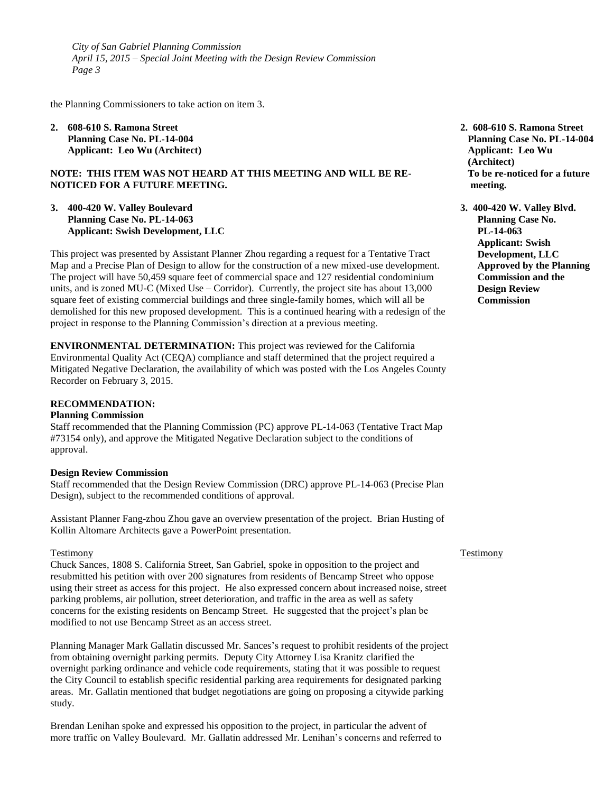the Planning Commissioners to take action on item 3.

**2. 608-610 S. Ramona Street Planning Case No. PL-14-004 Applicant: Leo Wu (Architect)**

#### **NOTE: THIS ITEM WAS NOT HEARD AT THIS MEETING AND WILL BE RE-NOTICED FOR A FUTURE MEETING.**

**3. 400-420 W. Valley Boulevard Planning Case No. PL-14-063 Applicant: Swish Development, LLC**

This project was presented by Assistant Planner Zhou regarding a request for a Tentative Tract Map and a Precise Plan of Design to allow for the construction of a new mixed-use development. The project will have 50,459 square feet of commercial space and 127 residential condominium units, and is zoned MU-C (Mixed Use – Corridor). Currently, the project site has about 13,000 square feet of existing commercial buildings and three single-family homes, which will all be demolished for this new proposed development. This is a continued hearing with a redesign of the project in response to the Planning Commission's direction at a previous meeting.

**ENVIRONMENTAL DETERMINATION:** This project was reviewed for the California Environmental Quality Act (CEQA) compliance and staff determined that the project required a Mitigated Negative Declaration, the availability of which was posted with the Los Angeles County Recorder on February 3, 2015.

#### **RECOMMENDATION:**

#### **Planning Commission**

Staff recommended that the Planning Commission (PC) approve PL-14-063 (Tentative Tract Map #73154 only), and approve the Mitigated Negative Declaration subject to the conditions of approval.

#### **Design Review Commission**

Staff recommended that the Design Review Commission (DRC) approve PL-14-063 (Precise Plan Design), subject to the recommended conditions of approval.

Assistant Planner Fang-zhou Zhou gave an overview presentation of the project. Brian Husting of Kollin Altomare Architects gave a PowerPoint presentation.

#### Testimony

Chuck Sances, 1808 S. California Street, San Gabriel, spoke in opposition to the project and resubmitted his petition with over 200 signatures from residents of Bencamp Street who oppose using their street as access for this project. He also expressed concern about increased noise, street parking problems, air pollution, street deterioration, and traffic in the area as well as safety concerns for the existing residents on Bencamp Street. He suggested that the project's plan be modified to not use Bencamp Street as an access street.

Planning Manager Mark Gallatin discussed Mr. Sances's request to prohibit residents of the project from obtaining overnight parking permits. Deputy City Attorney Lisa Kranitz clarified the overnight parking ordinance and vehicle code requirements, stating that it was possible to request the City Council to establish specific residential parking area requirements for designated parking areas. Mr. Gallatin mentioned that budget negotiations are going on proposing a citywide parking study.

Brendan Lenihan spoke and expressed his opposition to the project, in particular the advent of more traffic on Valley Boulevard. Mr. Gallatin addressed Mr. Lenihan's concerns and referred to

- **2. 608-610 S. Ramona Street Planning Case No. PL-14-004 Applicant: Leo Wu (Architect) To be re-noticed for a future meeting.**
- **3. 400-420 W. Valley Blvd. Planning Case No. PL-14-063 Applicant: Swish Development, LLC Approved by the Planning Commission and the Design Review Commission**

#### Testimony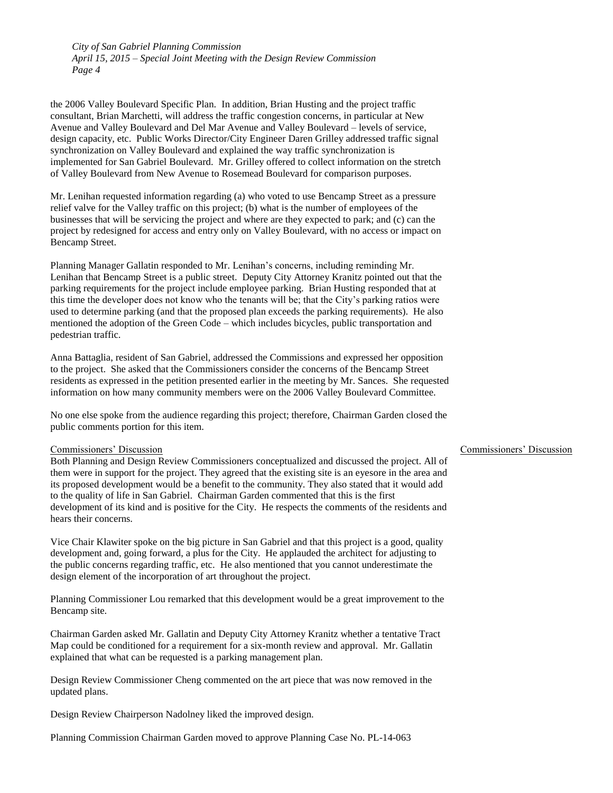the 2006 Valley Boulevard Specific Plan. In addition, Brian Husting and the project traffic consultant, Brian Marchetti, will address the traffic congestion concerns, in particular at New Avenue and Valley Boulevard and Del Mar Avenue and Valley Boulevard – levels of service, design capacity, etc. Public Works Director/City Engineer Daren Grilley addressed traffic signal synchronization on Valley Boulevard and explained the way traffic synchronization is implemented for San Gabriel Boulevard. Mr. Grilley offered to collect information on the stretch of Valley Boulevard from New Avenue to Rosemead Boulevard for comparison purposes.

Mr. Lenihan requested information regarding (a) who voted to use Bencamp Street as a pressure relief valve for the Valley traffic on this project; (b) what is the number of employees of the businesses that will be servicing the project and where are they expected to park; and (c) can the project by redesigned for access and entry only on Valley Boulevard, with no access or impact on Bencamp Street.

Planning Manager Gallatin responded to Mr. Lenihan's concerns, including reminding Mr. Lenihan that Bencamp Street is a public street. Deputy City Attorney Kranitz pointed out that the parking requirements for the project include employee parking. Brian Husting responded that at this time the developer does not know who the tenants will be; that the City's parking ratios were used to determine parking (and that the proposed plan exceeds the parking requirements). He also mentioned the adoption of the Green Code – which includes bicycles, public transportation and pedestrian traffic.

Anna Battaglia, resident of San Gabriel, addressed the Commissions and expressed her opposition to the project. She asked that the Commissioners consider the concerns of the Bencamp Street residents as expressed in the petition presented earlier in the meeting by Mr. Sances. She requested information on how many community members were on the 2006 Valley Boulevard Committee.

No one else spoke from the audience regarding this project; therefore, Chairman Garden closed the public comments portion for this item.

#### Commissioners' Discussion

Both Planning and Design Review Commissioners conceptualized and discussed the project. All of them were in support for the project. They agreed that the existing site is an eyesore in the area and its proposed development would be a benefit to the community. They also stated that it would add to the quality of life in San Gabriel. Chairman Garden commented that this is the first development of its kind and is positive for the City. He respects the comments of the residents and hears their concerns.

Vice Chair Klawiter spoke on the big picture in San Gabriel and that this project is a good, quality development and, going forward, a plus for the City. He applauded the architect for adjusting to the public concerns regarding traffic, etc. He also mentioned that you cannot underestimate the design element of the incorporation of art throughout the project.

Planning Commissioner Lou remarked that this development would be a great improvement to the Bencamp site.

Chairman Garden asked Mr. Gallatin and Deputy City Attorney Kranitz whether a tentative Tract Map could be conditioned for a requirement for a six-month review and approval. Mr. Gallatin explained that what can be requested is a parking management plan.

Design Review Commissioner Cheng commented on the art piece that was now removed in the updated plans.

Design Review Chairperson Nadolney liked the improved design.

Planning Commission Chairman Garden moved to approve Planning Case No. PL-14-063

# Commissioners' Discussion